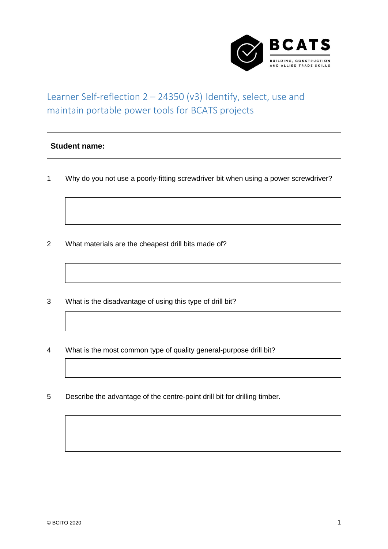

## Learner Self-reflection 2 – 24350 (v3) Identify, select, use and maintain portable power tools for BCATS projects

## **Student name:**

1 Why do you not use a poorly-fitting screwdriver bit when using a power screwdriver?

- 2 What materials are the cheapest drill bits made of?
- 3 What is the disadvantage of using this type of drill bit?
- 4 What is the most common type of quality general-purpose drill bit?
- 5 Describe the advantage of the centre-point drill bit for drilling timber.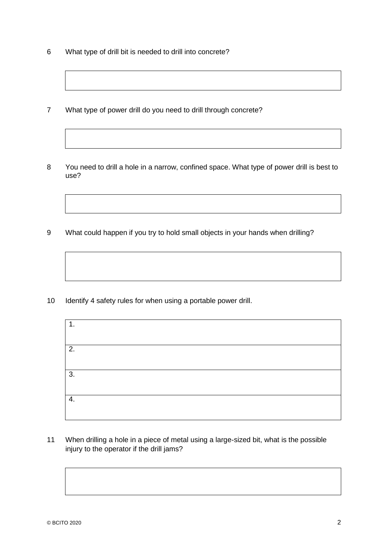- 6 What type of drill bit is needed to drill into concrete?
- 7 What type of power drill do you need to drill through concrete?
- 8 You need to drill a hole in a narrow, confined space. What type of power drill is best to use?
- 9 What could happen if you try to hold small objects in your hands when drilling?

10 Identify 4 safety rules for when using a portable power drill.

| $\mathbf{1}$ . |
|----------------|
|                |
| 2.             |
|                |
| 3.             |
|                |
| 4.             |
|                |
|                |

11 When drilling a hole in a piece of metal using a large-sized bit, what is the possible injury to the operator if the drill jams?